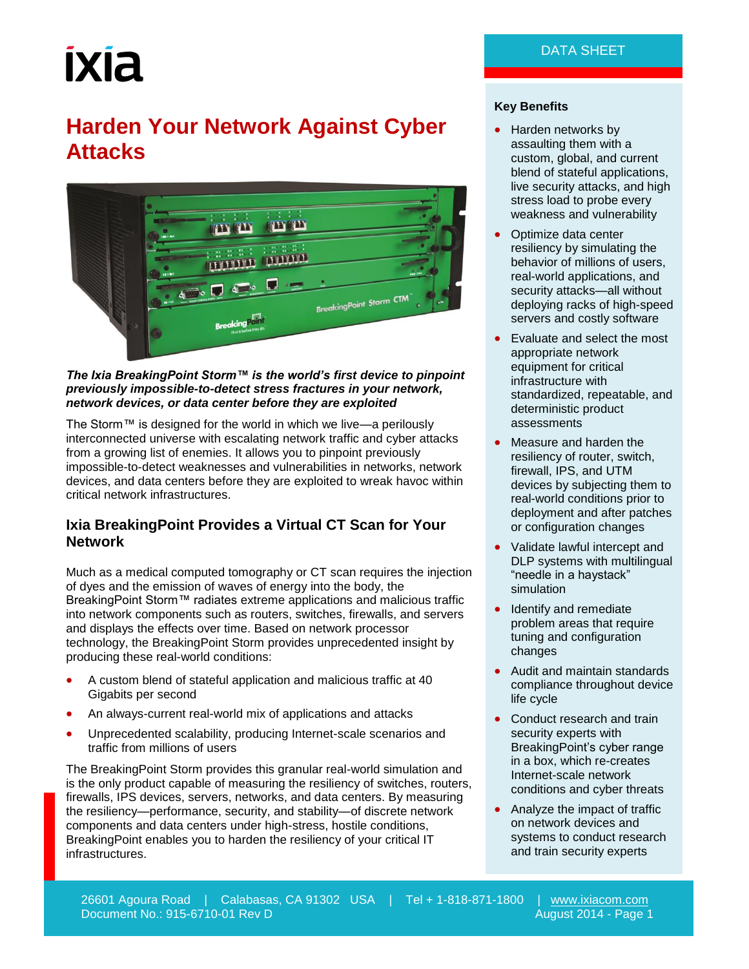# **IXIA**

## **Harden Your Network Against Cyber Attacks**



#### *The Ixia BreakingPoint Storm™ is the world's first device to pinpoint previously impossible-to-detect stress fractures in your network, network devices, or data center before they are exploited*

The Storm™ is designed for the world in which we live—a perilously interconnected universe with escalating network traffic and cyber attacks from a growing list of enemies. It allows you to pinpoint previously impossible-to-detect weaknesses and vulnerabilities in networks, network devices, and data centers before they are exploited to wreak havoc within critical network infrastructures.

#### **Ixia BreakingPoint Provides a Virtual CT Scan for Your Network**

Much as a medical computed tomography or CT scan requires the injection of dyes and the emission of waves of energy into the body, the BreakingPoint Storm™ radiates extreme applications and malicious traffic into network components such as routers, switches, firewalls, and servers and displays the effects over time. Based on network processor technology, the BreakingPoint Storm provides unprecedented insight by producing these real-world conditions:

- A custom blend of stateful application and malicious traffic at 40 Gigabits per second
- An always-current real-world mix of applications and attacks
- Unprecedented scalability, producing Internet-scale scenarios and traffic from millions of users

The BreakingPoint Storm provides this granular real-world simulation and is the only product capable of measuring the resiliency of switches, routers, firewalls, IPS devices, servers, networks, and data centers. By measuring the resiliency—performance, security, and stability—of discrete network components and data centers under high-stress, hostile conditions, BreakingPoint enables you to harden the resiliency of your critical IT infrastructures.

#### **Key Benefits**

- Harden networks by assaulting them with a custom, global, and current blend of stateful applications, live security attacks, and high stress load to probe every weakness and vulnerability
- Optimize data center resiliency by simulating the behavior of millions of users, real-world applications, and security attacks—all without deploying racks of high-speed servers and costly software
- Evaluate and select the most appropriate network equipment for critical infrastructure with standardized, repeatable, and deterministic product assessments
- Measure and harden the resiliency of router, switch, firewall, IPS, and UTM devices by subjecting them to real-world conditions prior to deployment and after patches or configuration changes
- Validate lawful intercept and DLP systems with multilingual "needle in a haystack" simulation
- Identify and remediate problem areas that require tuning and configuration changes
- Audit and maintain standards compliance throughout device life cycle
- Conduct research and train security experts with BreakingPoint's cyber range in a box, which re-creates Internet-scale network conditions and cyber threats
- Analyze the impact of traffic on network devices and systems to conduct research and train security experts

26601 Agoura Road | Calabasas, CA 91302 USA | Tel + 1-818-871-1800 | [www.ixiacom.com](http://www.ixiacom.com/) Document No.: 915-6710-01 Rev D August 2014 - Page 1